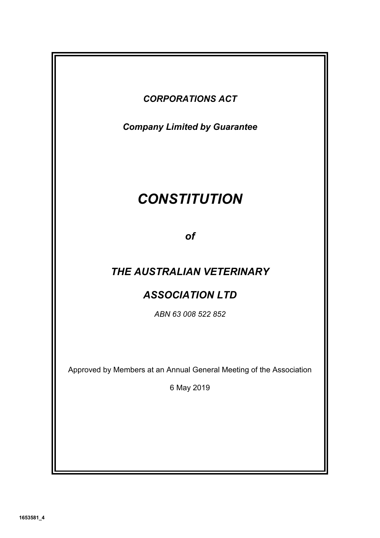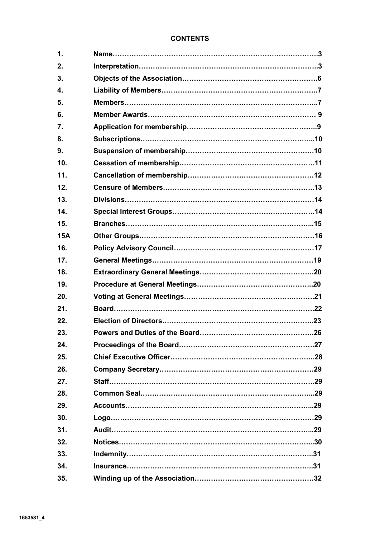# **CONTENTS**

| 1.         |  |
|------------|--|
| 2.         |  |
| 3.         |  |
| 4.         |  |
| 5.         |  |
| 6.         |  |
| 7.         |  |
| 8.         |  |
| 9.         |  |
| 10.        |  |
| 11.        |  |
| 12.        |  |
| 13.        |  |
| 14.        |  |
| 15.        |  |
| <b>15A</b> |  |
| 16.        |  |
| 17.        |  |
|            |  |
| 18.        |  |
| 19.        |  |
| 20.        |  |
| 21.        |  |
| 22.        |  |
| 23.        |  |
| 24.        |  |
| 25.        |  |
| 26.        |  |
| 27.        |  |
| 28.        |  |
| 29.        |  |
| 30.        |  |
| 31.        |  |
| 32.        |  |
| 33.        |  |
| 34.        |  |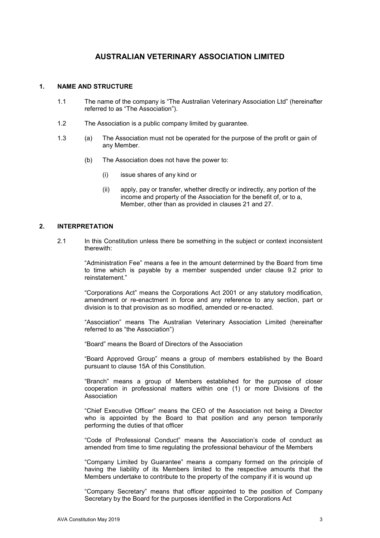# **AUSTRALIAN VETERINARY ASSOCIATION LIMITED**

### **1. NAME AND STRUCTURE**

- 1.1 The name of the company is "The Australian Veterinary Association Ltd" (hereinafter referred to as "The Association").
- 1.2 The Association is a public company limited by guarantee.
- 1.3 (a) The Association must not be operated for the purpose of the profit or gain of any Member.
	- (b) The Association does not have the power to:
		- (i) issue shares of any kind or
		- (ii) apply, pay or transfer, whether directly or indirectly, any portion of the income and property of the Association for the benefit of, or to a, Member, other than as provided in clauses 21 and 27.

#### **2. INTERPRETATION**

2.1 In this Constitution unless there be something in the subject or context inconsistent therewith:

> "Administration Fee" means a fee in the amount determined by the Board from time to time which is payable by a member suspended under clause 9.2 prior to reinstatement."

> "Corporations Act" means the Corporations Act 2001 or any statutory modification, amendment or re-enactment in force and any reference to any section, part or division is to that provision as so modified, amended or re-enacted.

> "Association" means The Australian Veterinary Association Limited (hereinafter referred to as "the Association")

"Board" means the Board of Directors of the Association

"Board Approved Group" means a group of members established by the Board pursuant to clause 15A of this Constitution.

 "Branch" means a group of Members established for the purpose of closer cooperation in professional matters within one (1) or more Divisions of the Association

 "Chief Executive Officer" means the CEO of the Association not being a Director who is appointed by the Board to that position and any person temporarily performing the duties of that officer

"Code of Professional Conduct" means the Association's code of conduct as amended from time to time regulating the professional behaviour of the Members

 "Company Limited by Guarantee" means a company formed on the principle of having the liability of its Members limited to the respective amounts that the Members undertake to contribute to the property of the company if it is wound up

 "Company Secretary" means that officer appointed to the position of Company Secretary by the Board for the purposes identified in the Corporations Act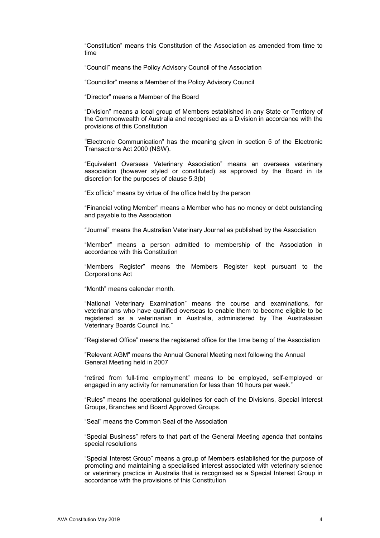"Constitution" means this Constitution of the Association as amended from time to time

"Council" means the Policy Advisory Council of the Association

"Councillor" means a Member of the Policy Advisory Council

"Director" means a Member of the Board

 "Division" means a local group of Members established in any State or Territory of the Commonwealth of Australia and recognised as a Division in accordance with the provisions of this Constitution

"Electronic Communication" has the meaning given in section 5 of the Electronic Transactions Act 2000 (NSW).

"Equivalent Overseas Veterinary Association" means an overseas veterinary association (however styled or constituted) as approved by the Board in its discretion for the purposes of clause 5.3(b)

"Ex officio" means by virtue of the office held by the person

"Financial voting Member" means a Member who has no money or debt outstanding and payable to the Association

"Journal" means the Australian Veterinary Journal as published by the Association

 "Member" means a person admitted to membership of the Association in accordance with this Constitution

 "Members Register" means the Members Register kept pursuant to the Corporations Act

"Month" means calendar month.

 "National Veterinary Examination" means the course and examinations, for veterinarians who have qualified overseas to enable them to become eligible to be registered as a veterinarian in Australia, administered by The Australasian Veterinary Boards Council Inc."

"Registered Office" means the registered office for the time being of the Association

"Relevant AGM" means the Annual General Meeting next following the Annual General Meeting held in 2007

"retired from full-time employment" means to be employed, self-employed or engaged in any activity for remuneration for less than 10 hours per week."

 "Rules" means the operational guidelines for each of the Divisions, Special Interest Groups, Branches and Board Approved Groups.

"Seal" means the Common Seal of the Association

 "Special Business" refers to that part of the General Meeting agenda that contains special resolutions

 "Special Interest Group" means a group of Members established for the purpose of promoting and maintaining a specialised interest associated with veterinary science or veterinary practice in Australia that is recognised as a Special Interest Group in accordance with the provisions of this Constitution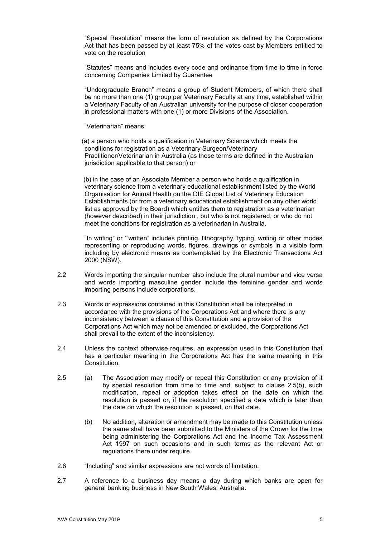"Special Resolution" means the form of resolution as defined by the Corporations Act that has been passed by at least 75% of the votes cast by Members entitled to vote on the resolution

 "Statutes" means and includes every code and ordinance from time to time in force concerning Companies Limited by Guarantee

"Undergraduate Branch" means a group of Student Members, of which there shall be no more than one (1) group per Veterinary Faculty at any time, established within a Veterinary Faculty of an Australian university for the purpose of closer cooperation in professional matters with one (1) or more Divisions of the Association.

"Veterinarian" means:

 (a) a person who holds a qualification in Veterinary Science which meets the conditions for registration as a Veterinary Surgeon/Veterinary Practitioner/Veterinarian in Australia (as those terms are defined in the Australian jurisdiction applicable to that person) or

 (b) in the case of an Associate Member a person who holds a qualification in veterinary science from a veterinary educational establishment listed by the World Organisation for Animal Health on the OIE Global List of Veterinary Education Establishments (or from a veterinary educational establishment on any other world list as approved by the Board) which entitles them to registration as a veterinarian (however described) in their jurisdiction , but who is not registered, or who do not meet the conditions for registration as a veterinarian in Australia.

 "In writing" or '"written" includes printing, lithography, typing, writing or other modes representing or reproducing words, figures, drawings or symbols in a visible form including by electronic means as contemplated by the Electronic Transactions Act 2000 (NSW).

- 2.2 Words importing the singular number also include the plural number and vice versa and words importing masculine gender include the feminine gender and words importing persons include corporations.
- 2.3 Words or expressions contained in this Constitution shall be interpreted in accordance with the provisions of the Corporations Act and where there is any inconsistency between a clause of this Constitution and a provision of the Corporations Act which may not be amended or excluded, the Corporations Act shall prevail to the extent of the inconsistency.
- 2.4 Unless the context otherwise requires, an expression used in this Constitution that has a particular meaning in the Corporations Act has the same meaning in this Constitution.
- 2.5 (a) The Association may modify or repeal this Constitution or any provision of it by special resolution from time to time and, subject to clause 2.5(b), such modification, repeal or adoption takes effect on the date on which the resolution is passed or, if the resolution specified a date which is later than the date on which the resolution is passed, on that date.
	- (b) No addition, alteration or amendment may be made to this Constitution unless the same shall have been submitted to the Ministers of the Crown for the time being administering the Corporations Act and the Income Tax Assessment Act 1997 on such occasions and in such terms as the relevant Act or regulations there under require.
- 2.6 "Including" and similar expressions are not words of limitation.
- 2.7 A reference to a business day means a day during which banks are open for general banking business in New South Wales, Australia.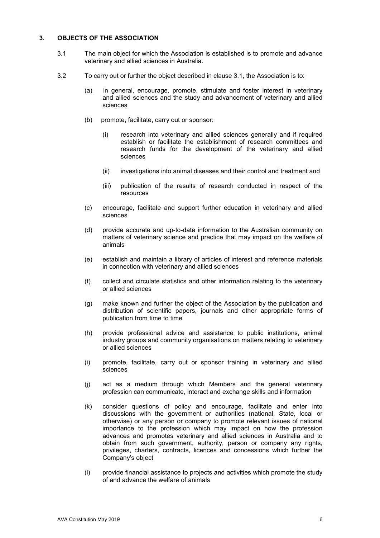## **3. OBJECTS OF THE ASSOCIATION**

- 3.1 The main object for which the Association is established is to promote and advance veterinary and allied sciences in Australia.
- 3.2 To carry out or further the object described in clause 3.1, the Association is to:
	- (a) in general, encourage, promote, stimulate and foster interest in veterinary and allied sciences and the study and advancement of veterinary and allied sciences
	- (b) promote, facilitate, carry out or sponsor:
		- (i) research into veterinary and allied sciences generally and if required establish or facilitate the establishment of research committees and research funds for the development of the veterinary and allied sciences
		- (ii) investigations into animal diseases and their control and treatment and
		- (iii) publication of the results of research conducted in respect of the resources
	- (c) encourage, facilitate and support further education in veterinary and allied sciences
	- (d) provide accurate and up-to-date information to the Australian community on matters of veterinary science and practice that may impact on the welfare of animals
	- (e) establish and maintain a library of articles of interest and reference materials in connection with veterinary and allied sciences
	- (f) collect and circulate statistics and other information relating to the veterinary or allied sciences
	- (g) make known and further the object of the Association by the publication and distribution of scientific papers, journals and other appropriate forms of publication from time to time
	- (h) provide professional advice and assistance to public institutions, animal industry groups and community organisations on matters relating to veterinary or allied sciences
	- (i) promote, facilitate, carry out or sponsor training in veterinary and allied sciences
	- (j) act as a medium through which Members and the general veterinary profession can communicate, interact and exchange skills and information
	- (k) consider questions of policy and encourage, facilitate and enter into discussions with the government or authorities (national, State, local or otherwise) or any person or company to promote relevant issues of national importance to the profession which may impact on how the profession advances and promotes veterinary and allied sciences in Australia and to obtain from such government, authority, person or company any rights, privileges, charters, contracts, licences and concessions which further the Company's object
	- (l) provide financial assistance to projects and activities which promote the study of and advance the welfare of animals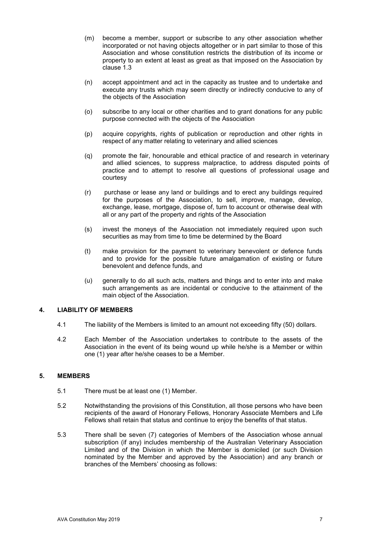- (m) become a member, support or subscribe to any other association whether incorporated or not having objects altogether or in part similar to those of this Association and whose constitution restricts the distribution of its income or property to an extent at least as great as that imposed on the Association by clause 1.3
- (n) accept appointment and act in the capacity as trustee and to undertake and execute any trusts which may seem directly or indirectly conducive to any of the objects of the Association
- (o) subscribe to any local or other charities and to grant donations for any public purpose connected with the objects of the Association
- (p) acquire copyrights, rights of publication or reproduction and other rights in respect of any matter relating to veterinary and allied sciences
- (q) promote the fair, honourable and ethical practice of and research in veterinary and allied sciences, to suppress malpractice, to address disputed points of practice and to attempt to resolve all questions of professional usage and courtesy
- (r) purchase or lease any land or buildings and to erect any buildings required for the purposes of the Association, to sell, improve, manage, develop, exchange, lease, mortgage, dispose of, turn to account or otherwise deal with all or any part of the property and rights of the Association
- (s) invest the moneys of the Association not immediately required upon such securities as may from time to time be determined by the Board
- (t) make provision for the payment to veterinary benevolent or defence funds and to provide for the possible future amalgamation of existing or future benevolent and defence funds, and
- (u) generally to do all such acts, matters and things and to enter into and make such arrangements as are incidental or conducive to the attainment of the main object of the Association.

# **4. LIABILITY OF MEMBERS**

- 4.1 The liability of the Members is limited to an amount not exceeding fifty (50) dollars.
- 4.2 Each Member of the Association undertakes to contribute to the assets of the Association in the event of its being wound up while he/she is a Member or within one (1) year after he/she ceases to be a Member.

# **5. MEMBERS**

- 5.1 There must be at least one (1) Member.
- 5.2 Notwithstanding the provisions of this Constitution, all those persons who have been recipients of the award of Honorary Fellows, Honorary Associate Members and Life Fellows shall retain that status and continue to enjoy the benefits of that status.
- 5.3 There shall be seven (7) categories of Members of the Association whose annual subscription (if any) includes membership of the Australian Veterinary Association Limited and of the Division in which the Member is domiciled (or such Division nominated by the Member and approved by the Association) and any branch or branches of the Members' choosing as follows: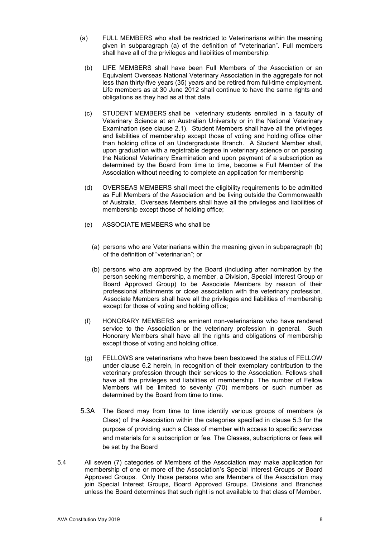- (a) FULL MEMBERS who shall be restricted to Veterinarians within the meaning given in subparagraph (a) of the definition of "Veterinarian". Full members shall have all of the privileges and liabilities of membership.
	- (b) LIFE MEMBERS shall have been Full Members of the Association or an Equivalent Overseas National Veterinary Association in the aggregate for not less than thirty-five years (35) years and be retired from full-time employment. Life members as at 30 June 2012 shall continue to have the same rights and obligations as they had as at that date.
	- (c) STUDENT MEMBERS shall be veterinary students enrolled in a faculty of Veterinary Science at an Australian University or in the National Veterinary Examination (see clause 2.1). Student Members shall have all the privileges and liabilities of membership except those of voting and holding office other than holding office of an Undergraduate Branch. A Student Member shall, upon graduation with a registrable degree in veterinary science or on passing the National Veterinary Examination and upon payment of a subscription as determined by the Board from time to time, become a Full Member of the Association without needing to complete an application for membership
	- (d) OVERSEAS MEMBERS shall meet the eligibility requirements to be admitted as Full Members of the Association and be living outside the Commonwealth of Australia. Overseas Members shall have all the privileges and liabilities of membership except those of holding office;
	- (e) ASSOCIATE MEMBERS who shall be
		- (a) persons who are Veterinarians within the meaning given in subparagraph (b) of the definition of "veterinarian"; or
		- (b) persons who are approved by the Board (including after nomination by the person seeking membership, a member, a Division, Special Interest Group or Board Approved Group) to be Associate Members by reason of their professional attainments or close association with the veterinary profession. Associate Members shall have all the privileges and liabilities of membership except for those of voting and holding office;
	- (f) HONORARY MEMBERS are eminent non-veterinarians who have rendered service to the Association or the veterinary profession in general. Such Honorary Members shall have all the rights and obligations of membership except those of voting and holding office.
	- (g) FELLOWS are veterinarians who have been bestowed the status of FELLOW under clause 6.2 herein, in recognition of their exemplary contribution to the veterinary profession through their services to the Association. Fellows shall have all the privileges and liabilities of membership. The number of Fellow Members will be limited to seventy (70) members or such number as determined by the Board from time to time.
- 5.3A The Board may from time to time identify various groups of members (a Class) of the Association within the categories specified in clause 5.3 for the purpose of providing such a Class of member with access to specific services and materials for a subscription or fee. The Classes, subscriptions or fees will be set by the Board
- 5.4 All seven (7) categories of Members of the Association may make application for membership of one or more of the Association's Special Interest Groups or Board Approved Groups. Only those persons who are Members of the Association may join Special Interest Groups, Board Approved Groups. Divisions and Branches unless the Board determines that such right is not available to that class of Member.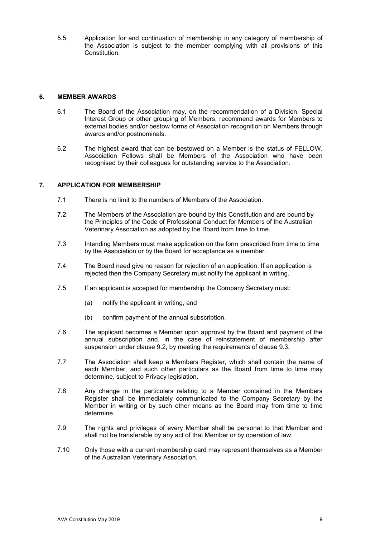5.5 Application for and continuation of membership in any category of membership of the Association is subject to the member complying with all provisions of this Constitution.

### **6. MEMBER AWARDS**

- 6.1 The Board of the Association may, on the recommendation of a Division, Special Interest Group or other grouping of Members, recommend awards for Members to external bodies and/or bestow forms of Association recognition on Members through awards and/or postnominals.
- 6.2 The highest award that can be bestowed on a Member is the status of FELLOW. Association Fellows shall be Members of the Association who have been recognised by their colleagues for outstanding service to the Association.

# **7. APPLICATION FOR MEMBERSHIP**

- 7.1 There is no limit to the numbers of Members of the Association.
- 7.2 The Members of the Association are bound by this Constitution and are bound by the Principles of the Code of Professional Conduct for Members of the Australian Veterinary Association as adopted by the Board from time to time.
- 7.3 Intending Members must make application on the form prescribed from time to time by the Association or by the Board for acceptance as a member.
- 7.4 The Board need give no reason for rejection of an application. If an application is rejected then the Company Secretary must notify the applicant in writing.
- 7.5 If an applicant is accepted for membership the Company Secretary must:
	- (a) notify the applicant in writing, and
	- (b) confirm payment of the annual subscription.
- 7.6 The applicant becomes a Member upon approval by the Board and payment of the annual subscription and, in the case of reinstatement of membership after suspension under clause 9.2, by meeting the requirements of clause 9.3.
- 7.7 The Association shall keep a Members Register, which shall contain the name of each Member, and such other particulars as the Board from time to time may determine, subject to Privacy legislation.
- 7.8 Any change in the particulars relating to a Member contained in the Members Register shall be immediately communicated to the Company Secretary by the Member in writing or by such other means as the Board may from time to time determine.
- 7.9 The rights and privileges of every Member shall be personal to that Member and shall not be transferable by any act of that Member or by operation of law.
- 7.10 Only those with a current membership card may represent themselves as a Member of the Australian Veterinary Association.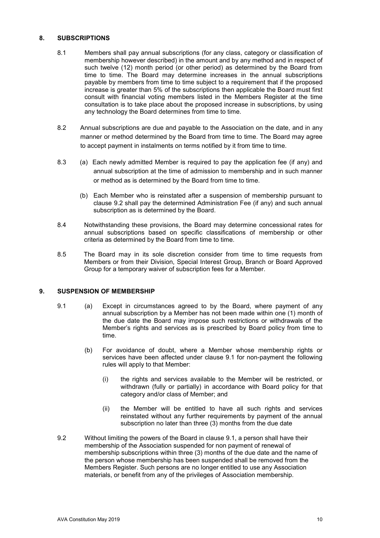### **8. SUBSCRIPTIONS**

- 8.1 Members shall pay annual subscriptions (for any class, category or classification of membership however described) in the amount and by any method and in respect of such twelve (12) month period (or other period) as determined by the Board from time to time. The Board may determine increases in the annual subscriptions payable by members from time to time subject to a requirement that if the proposed increase is greater than 5% of the subscriptions then applicable the Board must first consult with financial voting members listed in the Members Register at the time consultation is to take place about the proposed increase in subscriptions, by using any technology the Board determines from time to time.
- 8.2 Annual subscriptions are due and payable to the Association on the date, and in any manner or method determined by the Board from time to time. The Board may agree to accept payment in instalments on terms notified by it from time to time.
- 8.3 (a) Each newly admitted Member is required to pay the application fee (if any) and annual subscription at the time of admission to membership and in such manner or method as is determined by the Board from time to time.
	- (b) Each Member who is reinstated after a suspension of membership pursuant to clause 9.2 shall pay the determined Administration Fee (if any) and such annual subscription as is determined by the Board.
- 8.4 Notwithstanding these provisions, the Board may determine concessional rates for annual subscriptions based on specific classifications of membership or other criteria as determined by the Board from time to time.
- 8.5 The Board may in its sole discretion consider from time to time requests from Members or from their Division, Special Interest Group, Branch or Board Approved Group for a temporary waiver of subscription fees for a Member.

# **9. SUSPENSION OF MEMBERSHIP**

- 9.1 (a) Except in circumstances agreed to by the Board, where payment of any annual subscription by a Member has not been made within one (1) month of the due date the Board may impose such restrictions or withdrawals of the Member's rights and services as is prescribed by Board policy from time to time.
	- (b) For avoidance of doubt, where a Member whose membership rights or services have been affected under clause 9.1 for non-payment the following rules will apply to that Member:
		- (i) the rights and services available to the Member will be restricted, or withdrawn (fully or partially) in accordance with Board policy for that category and/or class of Member; and
		- (ii) the Member will be entitled to have all such rights and services reinstated without any further requirements by payment of the annual subscription no later than three (3) months from the due date
- 9.2 Without limiting the powers of the Board in clause 9.1, a person shall have their membership of the Association suspended for non payment of renewal of membership subscriptions within three (3) months of the due date and the name of the person whose membership has been suspended shall be removed from the Members Register. Such persons are no longer entitled to use any Association materials, or benefit from any of the privileges of Association membership.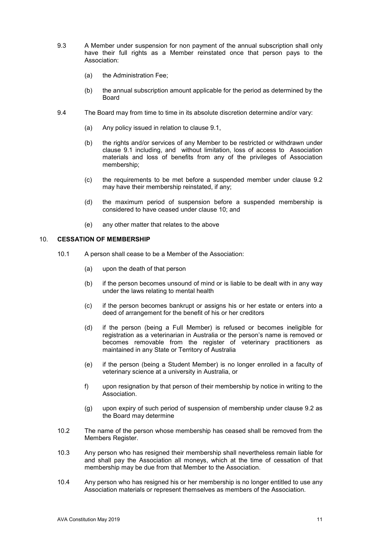- 9.3 A Member under suspension for non payment of the annual subscription shall only have their full rights as a Member reinstated once that person pays to the Association:
	- (a) the Administration Fee;
	- (b) the annual subscription amount applicable for the period as determined by the Board
- 9.4 The Board may from time to time in its absolute discretion determine and/or vary:
	- (a) Any policy issued in relation to clause 9.1,
	- (b) the rights and/or services of any Member to be restricted or withdrawn under clause 9.1 including, and without limitation, loss of access to Association materials and loss of benefits from any of the privileges of Association membership;
	- (c) the requirements to be met before a suspended member under clause 9.2 may have their membership reinstated, if any;
	- (d) the maximum period of suspension before a suspended membership is considered to have ceased under clause 10; and
	- (e) any other matter that relates to the above

#### 10. **CESSATION OF MEMBERSHIP**

- 10.1 A person shall cease to be a Member of the Association:
	- (a) upon the death of that person
	- (b) if the person becomes unsound of mind or is liable to be dealt with in any way under the laws relating to mental health
	- (c) if the person becomes bankrupt or assigns his or her estate or enters into a deed of arrangement for the benefit of his or her creditors
	- (d) if the person (being a Full Member) is refused or becomes ineligible for registration as a veterinarian in Australia or the person's name is removed or becomes removable from the register of veterinary practitioners as maintained in any State or Territory of Australia
	- (e) if the person (being a Student Member) is no longer enrolled in a faculty of veterinary science at a university in Australia, or
	- f) upon resignation by that person of their membership by notice in writing to the Association.
	- (g) upon expiry of such period of suspension of membership under clause 9.2 as the Board may determine
- 10.2 The name of the person whose membership has ceased shall be removed from the Members Register.
- 10.3 Any person who has resigned their membership shall nevertheless remain liable for and shall pay the Association all moneys, which at the time of cessation of that membership may be due from that Member to the Association.
- 10.4 Any person who has resigned his or her membership is no longer entitled to use any Association materials or represent themselves as members of the Association.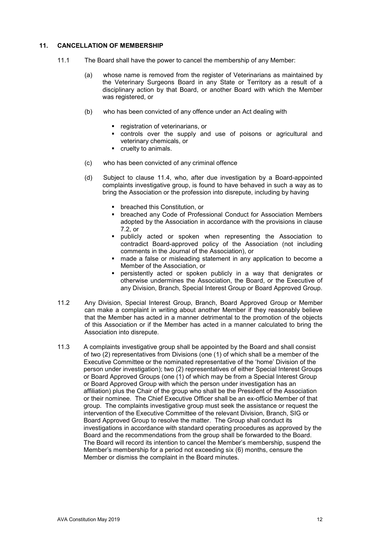## **11. CANCELLATION OF MEMBERSHIP**

- 11.1 The Board shall have the power to cancel the membership of any Member:
	- (a) whose name is removed from the register of Veterinarians as maintained by the Veterinary Surgeons Board in any State or Territory as a result of a disciplinary action by that Board, or another Board with which the Member was registered, or
	- (b) who has been convicted of any offence under an Act dealing with
		- **•** registration of veterinarians, or
		- controls over the supply and use of poisons or agricultural and veterinary chemicals, or
		- cruelty to animals.
	- (c) who has been convicted of any criminal offence
	- (d) Subject to clause 11.4, who, after due investigation by a Board-appointed complaints investigative group, is found to have behaved in such a way as to bring the Association or the profession into disrepute, including by having
		- **•** breached this Constitution, or
		- breached any Code of Professional Conduct for Association Members adopted by the Association in accordance with the provisions in clause 7.2, or
		- publicly acted or spoken when representing the Association to contradict Board-approved policy of the Association (not including comments in the Journal of the Association), or
		- made a false or misleading statement in any application to become a Member of the Association, or
		- persistently acted or spoken publicly in a way that denigrates or otherwise undermines the Association, the Board, or the Executive of any Division, Branch, Special Interest Group or Board Approved Group.
- 11.2 Any Division, Special Interest Group, Branch, Board Approved Group or Member can make a complaint in writing about another Member if they reasonably believe that the Member has acted in a manner detrimental to the promotion of the objects of this Association or if the Member has acted in a manner calculated to bring the Association into disrepute.
- 11.3 A complaints investigative group shall be appointed by the Board and shall consist of two (2) representatives from Divisions (one (1) of which shall be a member of the Executive Committee or the nominated representative of the 'home' Division of the person under investigation); two (2) representatives of either Special Interest Groups or Board Approved Groups (one (1) of which may be from a Special Interest Group or Board Approved Group with which the person under investigation has an affiliation) plus the Chair of the group who shall be the President of the Association or their nominee. The Chief Executive Officer shall be an ex-officio Member of that group. The complaints investigative group must seek the assistance or request the intervention of the Executive Committee of the relevant Division, Branch, SIG or Board Approved Group to resolve the matter. The Group shall conduct its investigations in accordance with standard operating procedures as approved by the Board and the recommendations from the group shall be forwarded to the Board. The Board will record its intention to cancel the Member's membership, suspend the Member's membership for a period not exceeding six (6) months, censure the Member or dismiss the complaint in the Board minutes.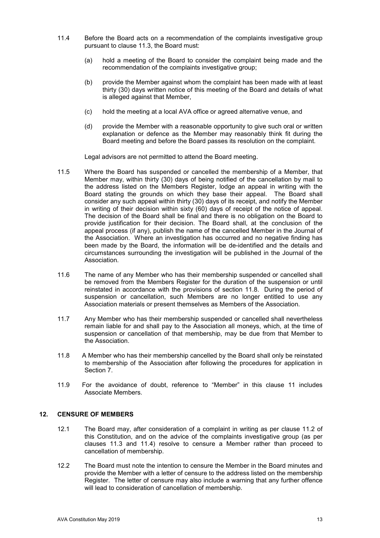- 11.4 Before the Board acts on a recommendation of the complaints investigative group pursuant to clause 11.3, the Board must:
	- (a) hold a meeting of the Board to consider the complaint being made and the recommendation of the complaints investigative group;
	- (b) provide the Member against whom the complaint has been made with at least thirty (30) days written notice of this meeting of the Board and details of what is alleged against that Member,
	- (c) hold the meeting at a local AVA office or agreed alternative venue, and
	- (d) provide the Member with a reasonable opportunity to give such oral or written explanation or defence as the Member may reasonably think fit during the Board meeting and before the Board passes its resolution on the complaint.

Legal advisors are not permitted to attend the Board meeting.

- 11.5 Where the Board has suspended or cancelled the membership of a Member, that Member may, within thirty (30) days of being notified of the cancellation by mail to the address listed on the Members Register, lodge an appeal in writing with the Board stating the grounds on which they base their appeal. The Board shall consider any such appeal within thirty (30) days of its receipt, and notify the Member in writing of their decision within sixty (60) days of receipt of the notice of appeal. The decision of the Board shall be final and there is no obligation on the Board to provide justification for their decision. The Board shall, at the conclusion of the appeal process (if any), publish the name of the cancelled Member in the Journal of the Association. Where an investigation has occurred and no negative finding has been made by the Board, the information will be de-identified and the details and circumstances surrounding the investigation will be published in the Journal of the Association.
- 11.6 The name of any Member who has their membership suspended or cancelled shall be removed from the Members Register for the duration of the suspension or until reinstated in accordance with the provisions of section 11.8. During the period of suspension or cancellation, such Members are no longer entitled to use any Association materials or present themselves as Members of the Association.
- 11.7 Any Member who has their membership suspended or cancelled shall nevertheless remain liable for and shall pay to the Association all moneys, which, at the time of suspension or cancellation of that membership, may be due from that Member to the Association.
- 11.8 A Member who has their membership cancelled by the Board shall only be reinstated to membership of the Association after following the procedures for application in Section 7.
- 11.9 For the avoidance of doubt, reference to "Member" in this clause 11 includes Associate Members.

# **12. CENSURE OF MEMBERS**

- 12.1 The Board may, after consideration of a complaint in writing as per clause 11.2 of this Constitution, and on the advice of the complaints investigative group (as per clauses 11.3 and 11.4) resolve to censure a Member rather than proceed to cancellation of membership.
- 12.2 The Board must note the intention to censure the Member in the Board minutes and provide the Member with a letter of censure to the address listed on the membership Register. The letter of censure may also include a warning that any further offence will lead to consideration of cancellation of membership.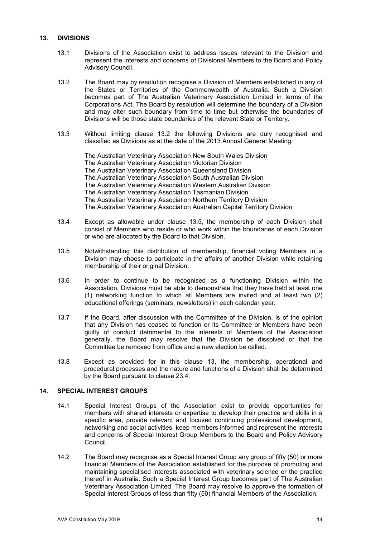### **13. DIVISIONS**

- 13.1 Divisions of the Association exist to address issues relevant to the Division and represent the interests and concerns of Divisional Members to the Board and Policy Advisory Council.
- 13.2 The Board may by resolution recognise a Division of Members established in any of the States or Territories of the Commonwealth of Australia. Such a Division becomes part of The Australian Veterinary Association Limited in terms of the Corporations Act. The Board by resolution will determine the boundary of a Division and may alter such boundary from time to time but otherwise the boundaries of Divisions will be those state boundaries of the relevant State or Territory.
- 13.3 Without limiting clause 13.2 the following Divisions are duly recognised and classified as Divisions as at the date of the 2013 Annual General Meeting:

The Australian Veterinary Association New South Wales Division The Australian Veterinary Association Victorian Division The Australian Veterinary Association Queensland Division The Australian Veterinary Association South Australian Division The Australian Veterinary Association Western Australian Division The Australian Veterinary Association Tasmanian Division The Australian Veterinary Association Northern Territory Division The Australian Veterinary Association Australian Capital Territory Division

- 13.4 Except as allowable under clause 13.5, the membership of each Division shall consist of Members who reside or who work within the boundaries of each Division or who are allocated by the Board to that Division.
- 13.5 Notwithstanding this distribution of membership, financial voting Members in a Division may choose to participate in the affairs of another Division while retaining membership of their original Division.
- 13.6 In order to continue to be recognised as a functioning Division within the Association, Divisions must be able to demonstrate that they have held at least one (1) networking function to which all Members are invited and at least two (2) educational offerings (seminars, newsletters) in each calendar year.
- 13.7 If the Board, after discussion with the Committee of the Division, is of the opinion that any Division has ceased to function or its Committee or Members have been guilty of conduct detrimental to the interests of Members of the Association generally, the Board may resolve that the Division be dissolved or that the Committee be removed from office and a new election be called.
- 13.8 Except as provided for in this clause 13, the membership, operational and procedural processes and the nature and functions of a Division shall be determined by the Board pursuant to clause 23.4.

# **14. SPECIAL INTEREST GROUPS**

- 14.1 Special Interest Groups of the Association exist to provide opportunities for members with shared interests or expertise to develop their practice and skills in a specific area, provide relevant and focused continuing professional development, networking and social activities, keep members informed and represent the interests and concerns of Special Interest Group Members to the Board and Policy Advisory Council.
- 14.2 The Board may recognise as a Special Interest Group any group of fifty (50) or more financial Members of the Association established for the purpose of promoting and maintaining specialised interests associated with veterinary science or the practice thereof in Australia. Such a Special Interest Group becomes part of The Australian Veterinary Association Limited. The Board may resolve to approve the formation of Special Interest Groups of less than fifty (50) financial Members of the Association.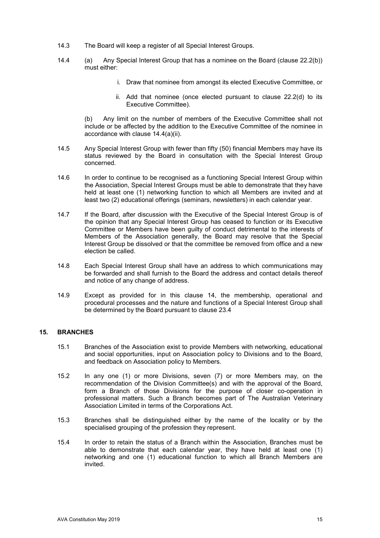- 14.3 The Board will keep a register of all Special Interest Groups.
- 14.4 (a) Any Special Interest Group that has a nominee on the Board (clause 22.2(b)) must either:
	- i. Draw that nominee from amongst its elected Executive Committee, or
	- ii. Add that nominee (once elected pursuant to clause 22.2(d) to its Executive Committee).

(b) Any limit on the number of members of the Executive Committee shall not include or be affected by the addition to the Executive Committee of the nominee in accordance with clause 14.4(a)(ii).

- 14.5 Any Special Interest Group with fewer than fifty (50) financial Members may have its status reviewed by the Board in consultation with the Special Interest Group concerned.
- 14.6 In order to continue to be recognised as a functioning Special Interest Group within the Association, Special Interest Groups must be able to demonstrate that they have held at least one (1) networking function to which all Members are invited and at least two (2) educational offerings (seminars, newsletters) in each calendar year.
- 14.7 If the Board, after discussion with the Executive of the Special Interest Group is of the opinion that any Special Interest Group has ceased to function or its Executive Committee or Members have been guilty of conduct detrimental to the interests of Members of the Association generally, the Board may resolve that the Special Interest Group be dissolved or that the committee be removed from office and a new election be called.
- 14.8 Each Special Interest Group shall have an address to which communications may be forwarded and shall furnish to the Board the address and contact details thereof and notice of any change of address.
- 14.9 Except as provided for in this clause 14, the membership, operational and procedural processes and the nature and functions of a Special Interest Group shall be determined by the Board pursuant to clause 23.4

### **15. BRANCHES**

- 15.1 Branches of the Association exist to provide Members with networking, educational and social opportunities, input on Association policy to Divisions and to the Board, and feedback on Association policy to Members.
- 15.2 In any one (1) or more Divisions, seven (7) or more Members may, on the recommendation of the Division Committee(s) and with the approval of the Board, form a Branch of those Divisions for the purpose of closer co-operation in professional matters. Such a Branch becomes part of The Australian Veterinary Association Limited in terms of the Corporations Act.
- 15.3 Branches shall be distinguished either by the name of the locality or by the specialised grouping of the profession they represent.
- 15.4 In order to retain the status of a Branch within the Association, Branches must be able to demonstrate that each calendar year, they have held at least one (1) networking and one (1) educational function to which all Branch Members are invited.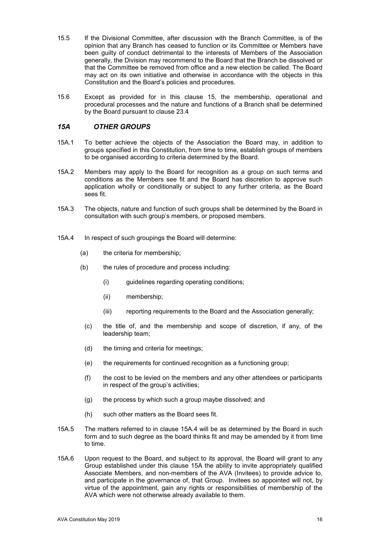- 15.5 If the Divisional Committee, after discussion with the Branch Committee, is of the opinion that any Branch has ceased to function or its Committee or Members have been guilty of conduct detrimental to the interests of Members of the Association generally, the Division may recommend to the Board that the Branch be dissolved or that the Committee be removed from office and a new election be called. The Board may act on its own initiative and otherwise in accordance with the objects in this Constitution and the Board's policies and procedures.
- 15.6 Except as provided for in this clause 15, the membership, operational and procedural processes and the nature and functions of a Branch shall be determined by the Board pursuant to clause 23.4

# *15A OTHER GROUPS*

- 15A.1 To better achieve the objects of the Association the Board may, in addition to groups specified in this Constitution, from time to time, establish groups of members to be organised according to criteria determined by the Board.
- 15A.2 Members may apply to the Board for recognition as a group on such terms and conditions as the Members see fit and the Board has discretion to approve such application wholly or conditionally or subject to any further criteria, as the Board sees fit.
- 15A.3 The objects, nature and function of such groups shall be determined by the Board in consultation with such group's members, or proposed members.
- 15A.4 In respect of such groupings the Board will determine:
	- (a) the criteria for membership;
	- (b) the rules of procedure and process including:
		- (i) guidelines regarding operating conditions;
		- (ii) membership;
		- (iii) reporting requirements to the Board and the Association generally;
		- (c) the title of, and the membership and scope of discretion, if any, of the leadership team;
		- (d) the timing and criteria for meetings;
		- (e) the requirements for continued recognition as a functioning group;
		- (f) the cost to be levied on the members and any other attendees or participants in respect of the group's activities;
		- (g) the process by which such a group maybe dissolved; and
		- (h) such other matters as the Board sees fit.
- 15A.5 The matters referred to in clause 15A.4 will be as determined by the Board in such form and to such degree as the board thinks fit and may be amended by it from time to time.
- 15A.6 Upon request to the Board, and subject to its approval, the Board will grant to any Group established under this clause 15A the ability to invite appropriately qualified Associate Members, and non-members of the AVA (Invitees) to provide advice to, and participate in the governance of, that Group. Invitees so appointed will not, by virtue of the appointment, gain any rights or responsibilities of membership of the AVA which were not otherwise already available to them.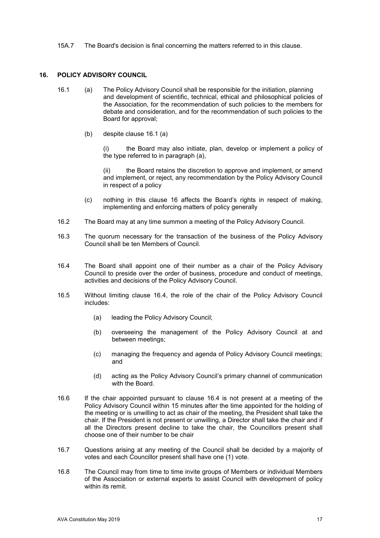15A.7 The Board's decision is final concerning the matters referred to in this clause.

# **16. POLICY ADVISORY COUNCIL**

- 16.1 (a) The Policy Advisory Council shall be responsible for the initiation, planning and development of scientific, technical, ethical and philosophical policies of the Association, for the recommendation of such policies to the members for debate and consideration, and for the recommendation of such policies to the Board for approval;
	- (b) despite clause 16.1 (a)

 (i) the Board may also initiate, plan, develop or implement a policy of the type referred to in paragraph (a),

the Board retains the discretion to approve and implement, or amend and implement, or reject, any recommendation by the Policy Advisory Council in respect of a policy

- (c) nothing in this clause 16 affects the Board's rights in respect of making, implementing and enforcing matters of policy generally
- 16.2 The Board may at any time summon a meeting of the Policy Advisory Council.
- 16.3 The quorum necessary for the transaction of the business of the Policy Advisory Council shall be ten Members of Council.
- 16.4 The Board shall appoint one of their number as a chair of the Policy Advisory Council to preside over the order of business, procedure and conduct of meetings, activities and decisions of the Policy Advisory Council.
- 16.5 Without limiting clause 16.4, the role of the chair of the Policy Advisory Council includes:
	- (a) leading the Policy Advisory Council;
	- (b) overseeing the management of the Policy Advisory Council at and between meetings;
	- (c) managing the frequency and agenda of Policy Advisory Council meetings; and
	- (d) acting as the Policy Advisory Council's primary channel of communication with the Board.
- 16.6 If the chair appointed pursuant to clause 16.4 is not present at a meeting of the Policy Advisory Council within 15 minutes after the time appointed for the holding of the meeting or is unwilling to act as chair of the meeting, the President shall take the chair. If the President is not present or unwilling, a Director shall take the chair and if all the Directors present decline to take the chair, the Councillors present shall choose one of their number to be chair
- 16.7 Questions arising at any meeting of the Council shall be decided by a majority of votes and each Councillor present shall have one (1) vote.
- 16.8 The Council may from time to time invite groups of Members or individual Members of the Association or external experts to assist Council with development of policy within its remit.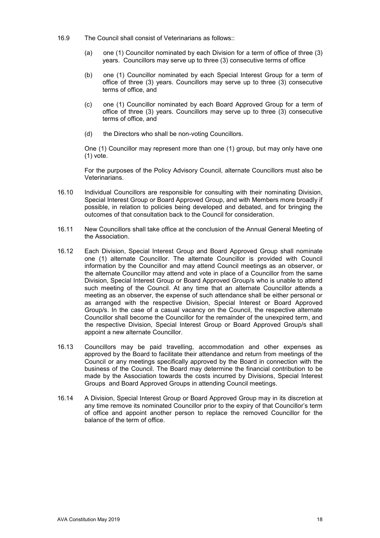- 16.9 The Council shall consist of Veterinarians as follows::
	- (a) one (1) Councillor nominated by each Division for a term of office of three (3) years. Councillors may serve up to three (3) consecutive terms of office
	- (b) one (1) Councillor nominated by each Special Interest Group for a term of office of three (3) years. Councillors may serve up to three (3) consecutive terms of office, and
	- (c) one (1) Councillor nominated by each Board Approved Group for a term of office of three (3) years. Councillors may serve up to three (3) consecutive terms of office, and
	- (d) the Directors who shall be non-voting Councillors.

One (1) Councillor may represent more than one (1) group, but may only have one (1) vote.

For the purposes of the Policy Advisory Council, alternate Councillors must also be Veterinarians.

- 16.10 Individual Councillors are responsible for consulting with their nominating Division, Special Interest Group or Board Approved Group, and with Members more broadly if possible, in relation to policies being developed and debated, and for bringing the outcomes of that consultation back to the Council for consideration.
- 16.11 New Councillors shall take office at the conclusion of the Annual General Meeting of the Association.
- 16.12 Each Division, Special Interest Group and Board Approved Group shall nominate one (1) alternate Councillor. The alternate Councillor is provided with Council information by the Councillor and may attend Council meetings as an observer, or the alternate Councillor may attend and vote in place of a Councillor from the same Division, Special Interest Group or Board Approved Group/s who is unable to attend such meeting of the Council. At any time that an alternate Councillor attends a meeting as an observer, the expense of such attendance shall be either personal or as arranged with the respective Division, Special Interest or Board Approved Group/s. In the case of a casual vacancy on the Council, the respective alternate Councillor shall become the Councillor for the remainder of the unexpired term, and the respective Division, Special Interest Group or Board Approved Group/s shall appoint a new alternate Councillor.
- 16.13 Councillors may be paid travelling, accommodation and other expenses as approved by the Board to facilitate their attendance and return from meetings of the Council or any meetings specifically approved by the Board in connection with the business of the Council. The Board may determine the financial contribution to be made by the Association towards the costs incurred by Divisions, Special Interest Groups and Board Approved Groups in attending Council meetings.
- 16.14 A Division, Special Interest Group or Board Approved Group may in its discretion at any time remove its nominated Councillor prior to the expiry of that Councillor's term of office and appoint another person to replace the removed Councillor for the balance of the term of office.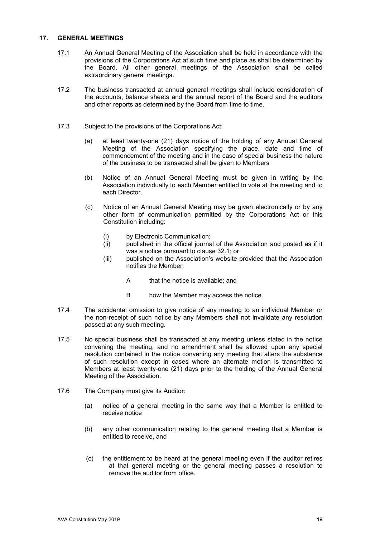#### **17. GENERAL MEETINGS**

- 17.1 An Annual General Meeting of the Association shall be held in accordance with the provisions of the Corporations Act at such time and place as shall be determined by the Board. All other general meetings of the Association shall be called extraordinary general meetings.
- 17.2 The business transacted at annual general meetings shall include consideration of the accounts, balance sheets and the annual report of the Board and the auditors and other reports as determined by the Board from time to time.
- 17.3 Subject to the provisions of the Corporations Act:
	- (a) at least twenty-one (21) days notice of the holding of any Annual General Meeting of the Association specifying the place, date and time of commencement of the meeting and in the case of special business the nature of the business to be transacted shall be given to Members
	- (b) Notice of an Annual General Meeting must be given in writing by the Association individually to each Member entitled to vote at the meeting and to each Director.
	- (c) Notice of an Annual General Meeting may be given electronically or by any other form of communication permitted by the Corporations Act or this Constitution including:
		- (i) by Electronic Communication;
		- (ii) published in the official journal of the Association and posted as if it was a notice pursuant to clause 32.1; or
		- (iii) published on the Association's website provided that the Association notifies the Member:
			- A that the notice is available; and
			- B how the Member may access the notice.
- 17.4 The accidental omission to give notice of any meeting to an individual Member or the non-receipt of such notice by any Members shall not invalidate any resolution passed at any such meeting.
- 17.5 No special business shall be transacted at any meeting unless stated in the notice convening the meeting, and no amendment shall be allowed upon any special resolution contained in the notice convening any meeting that alters the substance of such resolution except in cases where an alternate motion is transmitted to Members at least twenty-one (21) days prior to the holding of the Annual General Meeting of the Association.
- 17.6 The Company must give its Auditor:
	- (a) notice of a general meeting in the same way that a Member is entitled to receive notice
	- (b) any other communication relating to the general meeting that a Member is entitled to receive, and
	- (c) the entitlement to be heard at the general meeting even if the auditor retires at that general meeting or the general meeting passes a resolution to remove the auditor from office.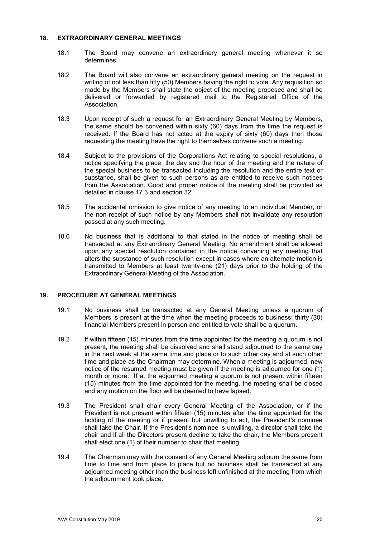#### **18. EXTRAORDINARY GENERAL MEETINGS**

- 18.1 The Board may convene an extraordinary general meeting whenever it so determines.
- 18.2 The Board will also convene an extraordinary general meeting on the request in writing of not less than fifty (50) Members having the right to vote. Any requisition so made by the Members shall state the object of the meeting proposed and shall be delivered or forwarded by registered mail to the Registered Office of the Association.
- 18.3 Upon receipt of such a request for an Extraordinary General Meeting by Members, the same should be convened within sixty (60) days from the time the request is received. If the Board has not acted at the expiry of sixty (60) days then those requesting the meeting have the right to themselves convene such a meeting.
- 18.4 Subject to the provisions of the Corporations Act relating to special resolutions, a notice specifying the place, the day and the hour of the meeting and the nature of the special business to be transacted including the resolution and the entire text or substance, shall be given to such persons as are entitled to receive such notices from the Association. Good and proper notice of the meeting shall be provided as detailed in clause 17.3 and section 32.
- 18.5 The accidental omission to give notice of any meeting to an individual Member, or the non-receipt of such notice by any Members shall not invalidate any resolution passed at any such meeting.
- 18.6 No business that is additional to that stated in the notice of meeting shall be transacted at any Extraordinary General Meeting. No amendment shall be allowed upon any special resolution contained in the notice convening any meeting that alters the substance of such resolution except in cases where an alternate motion is transmitted to Members at least twenty-one (21) days prior to the holding of the Extraordinary General Meeting of the Association.

# **19. PROCEDURE AT GENERAL MEETINGS**

- 19.1 No business shall be transacted at any General Meeting unless a quorum of Members is present at the time when the meeting proceeds to business: thirty (30) financial Members present in person and entitled to vote shall be a quorum.
- 19.2 If within fifteen (15) minutes from the time appointed for the meeting a quorum is not present, the meeting shall be dissolved and shall stand adjourned to the same day in the next week at the same time and place or to such other day and at such other time and place as the Chairman may determine. When a meeting is adjourned, new notice of the resumed meeting must be given if the meeting is adjourned for one (1) month or more. If at the adjourned meeting a quorum is not present within fifteen (15) minutes from the time appointed for the meeting, the meeting shall be closed and any motion on the floor will be deemed to have lapsed.
- 19.3 The President shall chair every General Meeting of the Association, or if the President is not present within fifteen (15) minutes after the time appointed for the holding of the meeting or if present but unwilling to act, the President's nominee shall take the Chair. If the President's nominee is unwilling, a director shall take the chair and if all the Directors present decline to take the chair, the Members present shall elect one (1) of their number to chair that meeting.
- 19.4 The Chairman may with the consent of any General Meeting adjourn the same from time to time and from place to place but no business shall be transacted at any adjourned meeting other than the business left unfinished at the meeting from which the adjournment took place.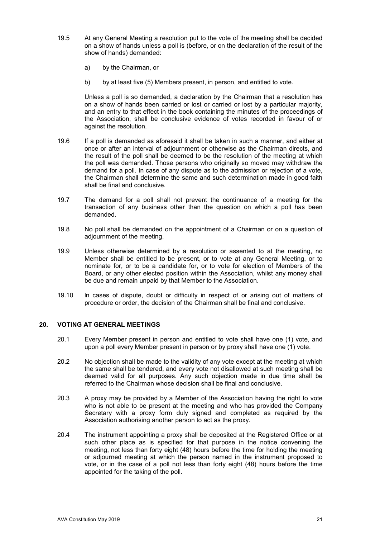- 19.5 At any General Meeting a resolution put to the vote of the meeting shall be decided on a show of hands unless a poll is (before, or on the declaration of the result of the show of hands) demanded:
	- a) by the Chairman, or
	- b) by at least five (5) Members present, in person, and entitled to vote.

Unless a poll is so demanded, a declaration by the Chairman that a resolution has on a show of hands been carried or lost or carried or lost by a particular majority, and an entry to that effect in the book containing the minutes of the proceedings of the Association, shall be conclusive evidence of votes recorded in favour of or against the resolution.

- 19.6 If a poll is demanded as aforesaid it shall be taken in such a manner, and either at once or after an interval of adjournment or otherwise as the Chairman directs, and the result of the poll shall be deemed to be the resolution of the meeting at which the poll was demanded. Those persons who originally so moved may withdraw the demand for a poll. In case of any dispute as to the admission or rejection of a vote, the Chairman shall determine the same and such determination made in good faith shall be final and conclusive.
- 19.7 The demand for a poll shall not prevent the continuance of a meeting for the transaction of any business other than the question on which a poll has been demanded.
- 19.8 No poll shall be demanded on the appointment of a Chairman or on a question of adjournment of the meeting.
- 19.9 Unless otherwise determined by a resolution or assented to at the meeting, no Member shall be entitled to be present, or to vote at any General Meeting, or to nominate for, or to be a candidate for, or to vote for election of Members of the Board, or any other elected position within the Association, whilst any money shall be due and remain unpaid by that Member to the Association.
- 19.10 ln cases of dispute, doubt or difficulty in respect of or arising out of matters of procedure or order, the decision of the Chairman shall be final and conclusive.

### **20. VOTING AT GENERAL MEETINGS**

- 20.1 Every Member present in person and entitled to vote shall have one (1) vote, and upon a poll every Member present in person or by proxy shall have one (1) vote.
- 20.2 No objection shall be made to the validity of any vote except at the meeting at which the same shall be tendered, and every vote not disallowed at such meeting shall be deemed valid for all purposes. Any such objection made in due time shall be referred to the Chairman whose decision shall be final and conclusive.
- 20.3 A proxy may be provided by a Member of the Association having the right to vote who is not able to be present at the meeting and who has provided the Company Secretary with a proxy form duly signed and completed as required by the Association authorising another person to act as the proxy.
- 20.4 The instrument appointing a proxy shall be deposited at the Registered Office or at such other place as is specified for that purpose in the notice convening the meeting, not less than forty eight (48) hours before the time for holding the meeting or adjourned meeting at which the person named in the instrument proposed to vote, or in the case of a poll not less than forty eight (48) hours before the time appointed for the taking of the poll.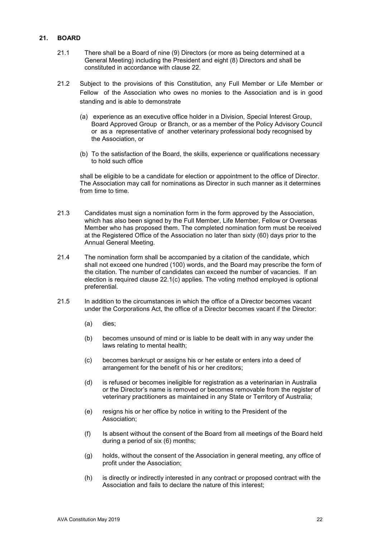# **21. BOARD**

- 21.1 There shall be a Board of nine (9) Directors (or more as being determined at a General Meeting) including the President and eight (8) Directors and shall be constituted in accordance with clause 22.
- 21.2 Subject to the provisions of this Constitution, any Full Member or Life Member or Fellow of the Association who owes no monies to the Association and is in good standing and is able to demonstrate
	- (a) experience as an executive office holder in a Division, Special Interest Group, Board Approved Group or Branch, or as a member of the Policy Advisory Council or as a representative of another veterinary professional body recognised by the Association, or
	- (b) To the satisfaction of the Board, the skills, experience or qualifications necessary to hold such office

shall be eligible to be a candidate for election or appointment to the office of Director. The Association may call for nominations as Director in such manner as it determines from time to time.

- 21.3 Candidates must sign a nomination form in the form approved by the Association, which has also been signed by the Full Member, Life Member, Fellow or Overseas Member who has proposed them. The completed nomination form must be received at the Registered Office of the Association no later than sixty (60) days prior to the Annual General Meeting.
- 21.4 The nomination form shall be accompanied by a citation of the candidate, which shall not exceed one hundred (100) words, and the Board may prescribe the form of the citation. The number of candidates can exceed the number of vacancies. If an election is required clause 22.1(c) applies. The voting method employed is optional preferential.
- 21.5 In addition to the circumstances in which the office of a Director becomes vacant under the Corporations Act, the office of a Director becomes vacant if the Director:
	- (a) dies;
	- (b) becomes unsound of mind or is liable to be dealt with in any way under the laws relating to mental health;
	- (c) becomes bankrupt or assigns his or her estate or enters into a deed of arrangement for the benefit of his or her creditors;
	- (d) is refused or becomes ineligible for registration as a veterinarian in Australia or the Director's name is removed or becomes removable from the register of veterinary practitioners as maintained in any State or Territory of Australia;
	- (e) resigns his or her office by notice in writing to the President of the Association;
	- (f) Is absent without the consent of the Board from all meetings of the Board held during a period of six (6) months;
	- (g) holds, without the consent of the Association in general meeting, any office of profit under the Association;
	- (h) is directly or indirectly interested in any contract or proposed contract with the Association and fails to declare the nature of this interest;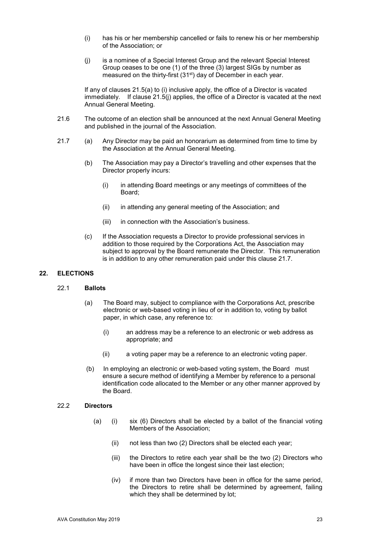- (i) has his or her membership cancelled or fails to renew his or her membership of the Association; or
- (j) is a nominee of a Special Interest Group and the relevant Special Interest Group ceases to be one (1) of the three (3) largest SIGs by number as measured on the thirty-first (31st) day of December in each year.

If any of clauses 21.5(a) to (i) inclusive apply, the office of a Director is vacated immediately. If clause 21.5(j) applies, the office of a Director is vacated at the next Annual General Meeting.

- 21.6 The outcome of an election shall be announced at the next Annual General Meeting and published in the journal of the Association.
- 21.7 (a) Any Director may be paid an honorarium as determined from time to time by the Association at the Annual General Meeting.
	- (b) The Association may pay a Director's travelling and other expenses that the Director properly incurs:
		- (i) in attending Board meetings or any meetings of committees of the Board;
		- (ii) in attending any general meeting of the Association; and
		- (iii) in connection with the Association's business.
	- (c) If the Association requests a Director to provide professional services in addition to those required by the Corporations Act, the Association may subject to approval by the Board remunerate the Director. This remuneration is in addition to any other remuneration paid under this clause 21.7.

## **22. ELECTIONS**

#### 22.1 **Ballots**

- (a) The Board may, subject to compliance with the Corporations Act, prescribe electronic or web-based voting in lieu of or in addition to, voting by ballot paper, in which case, any reference to:
	- (i) an address may be a reference to an electronic or web address as appropriate; and
	- (ii) a voting paper may be a reference to an electronic voting paper.
- (b) In employing an electronic or web-based voting system, the Board must ensure a secure method of identifying a Member by reference to a personal identification code allocated to the Member or any other manner approved by the Board.

#### 22.2 **Directors**

- (a) (i) six (6) Directors shall be elected by a ballot of the financial voting Members of the Association;
	- (ii) not less than two (2) Directors shall be elected each year;
	- (iii) the Directors to retire each year shall be the two (2) Directors who have been in office the longest since their last election;
	- (iv) if more than two Directors have been in office for the same period, the Directors to retire shall be determined by agreement, failing which they shall be determined by lot;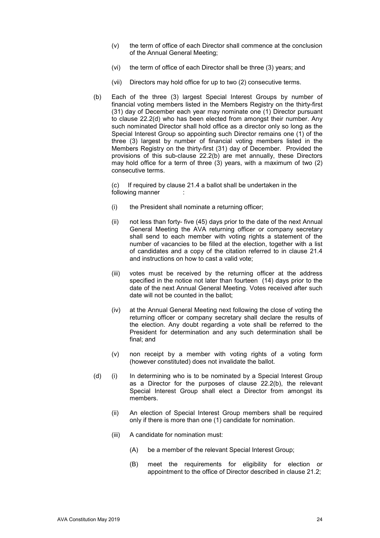- (v) the term of office of each Director shall commence at the conclusion of the Annual General Meeting;
- (vi) the term of office of each Director shall be three (3) years; and
- (vii) Directors may hold office for up to two (2) consecutive terms.
- (b) Each of the three (3) largest Special Interest Groups by number of financial voting members listed in the Members Registry on the thirty-first (31) day of December each year may nominate one (1) Director pursuant to clause 22.2(d) who has been elected from amongst their number. Any such nominated Director shall hold office as a director only so long as the Special Interest Group so appointing such Director remains one (1) of the three (3) largest by number of financial voting members listed in the Members Registry on the thirty-first (31) day of December. Provided the provisions of this sub-clause 22.2(b) are met annually, these Directors may hold office for a term of three (3) years, with a maximum of two (2) consecutive terms.

(c) If required by clause 21.4 a ballot shall be undertaken in the following manner

- (i) the President shall nominate a returning officer;
- (ii) not less than forty- five (45) days prior to the date of the next Annual General Meeting the AVA returning officer or company secretary shall send to each member with voting rights a statement of the number of vacancies to be filled at the election, together with a list of candidates and a copy of the citation referred to in clause 21.4 and instructions on how to cast a valid vote;
- (iii) votes must be received by the returning officer at the address specified in the notice not later than fourteen (14) days prior to the date of the next Annual General Meeting. Votes received after such date will not be counted in the ballot;
- (iv) at the Annual General Meeting next following the close of voting the returning officer or company secretary shall declare the results of the election. Any doubt regarding a vote shall be referred to the President for determination and any such determination shall be final; and
- (v) non receipt by a member with voting rights of a voting form (however constituted) does not invalidate the ballot.
- (d) (i) In determining who is to be nominated by a Special Interest Group as a Director for the purposes of clause 22.2(b), the relevant Special Interest Group shall elect a Director from amongst its members.
	- (ii) An election of Special Interest Group members shall be required only if there is more than one (1) candidate for nomination.
	- (iii) A candidate for nomination must:
		- (A) be a member of the relevant Special Interest Group;
		- (B) meet the requirements for eligibility for election or appointment to the office of Director described in clause 21.2;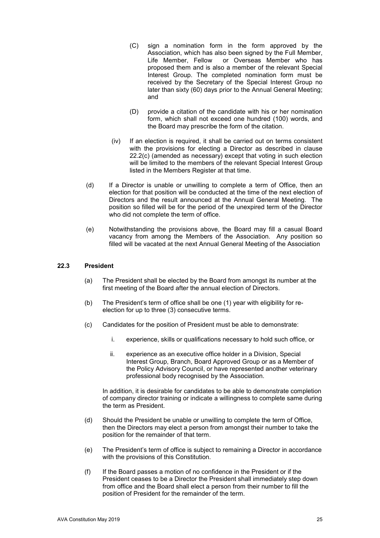- (C) sign a nomination form in the form approved by the Association, which has also been signed by the Full Member, Life Member, Fellow or Overseas Member who has proposed them and is also a member of the relevant Special Interest Group. The completed nomination form must be received by the Secretary of the Special Interest Group no later than sixty (60) days prior to the Annual General Meeting; and
- (D) provide a citation of the candidate with his or her nomination form, which shall not exceed one hundred (100) words, and the Board may prescribe the form of the citation.
- (iv) If an election is required, it shall be carried out on terms consistent with the provisions for electing a Director as described in clause 22.2(c) (amended as necessary) except that voting in such election will be limited to the members of the relevant Special Interest Group listed in the Members Register at that time.
- (d) If a Director is unable or unwilling to complete a term of Office, then an election for that position will be conducted at the time of the next election of Directors and the result announced at the Annual General Meeting. The position so filled will be for the period of the unexpired term of the Director who did not complete the term of office.
- (e) Notwithstanding the provisions above, the Board may fill a casual Board vacancy from among the Members of the Association. Any position so filled will be vacated at the next Annual General Meeting of the Association

#### **22.3 President**

- (a) The President shall be elected by the Board from amongst its number at the first meeting of the Board after the annual election of Directors.
- (b) The President's term of office shall be one (1) year with eligibility for reelection for up to three (3) consecutive terms.
- (c) Candidates for the position of President must be able to demonstrate:
	- i. experience, skills or qualifications necessary to hold such office, or
	- ii. experience as an executive office holder in a Division, Special Interest Group, Branch, Board Approved Group or as a Member of the Policy Advisory Council, or have represented another veterinary professional body recognised by the Association.

In addition, it is desirable for candidates to be able to demonstrate completion of company director training or indicate a willingness to complete same during the term as President.

- (d) Should the President be unable or unwilling to complete the term of Office, then the Directors may elect a person from amongst their number to take the position for the remainder of that term.
- (e) The President's term of office is subject to remaining a Director in accordance with the provisions of this Constitution.
- (f) If the Board passes a motion of no confidence in the President or if the President ceases to be a Director the President shall immediately step down from office and the Board shall elect a person from their number to fill the position of President for the remainder of the term.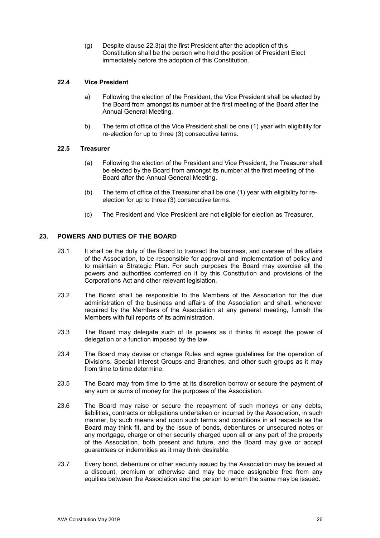(g) Despite clause 22.3(a) the first President after the adoption of this Constitution shall be the person who held the position of President Elect immediately before the adoption of this Constitution.

# **22.4 Vice President**

- a) Following the election of the President, the Vice President shall be elected by the Board from amongst its number at the first meeting of the Board after the Annual General Meeting.
- b) The term of office of the Vice President shall be one (1) year with eligibility for re-election for up to three (3) consecutive terms.

## **22.5 Treasurer**

- (a) Following the election of the President and Vice President, the Treasurer shall be elected by the Board from amongst its number at the first meeting of the Board after the Annual General Meeting.
- (b) The term of office of the Treasurer shall be one (1) year with eligibility for reelection for up to three (3) consecutive terms.
- (c) The President and Vice President are not eligible for election as Treasurer.

### **23. POWERS AND DUTIES OF THE BOARD**

- 23.1 It shall be the duty of the Board to transact the business, and oversee of the affairs of the Association, to be responsible for approval and implementation of policy and to maintain a Strategic Plan. For such purposes the Board may exercise all the powers and authorities conferred on it by this Constitution and provisions of the Corporations Act and other relevant legislation.
- 23.2 The Board shall be responsible to the Members of the Association for the due administration of the business and affairs of the Association and shall, whenever required by the Members of the Association at any general meeting, furnish the Members with full reports of its administration.
- 23.3 The Board may delegate such of its powers as it thinks fit except the power of delegation or a function imposed by the law.
- 23.4 The Board may devise or change Rules and agree guidelines for the operation of Divisions, Special Interest Groups and Branches, and other such groups as it may from time to time determine.
- 23.5 The Board may from time to time at its discretion borrow or secure the payment of any sum or sums of money for the purposes of the Association.
- 23.6 The Board may raise or secure the repayment of such moneys or any debts, liabilities, contracts or obligations undertaken or incurred by the Association, in such manner, by such means and upon such terms and conditions in all respects as the Board may think fit, and by the issue of bonds, debentures or unsecured notes or any mortgage, charge or other security charged upon all or any part of the property of the Association, both present and future, and the Board may give or accept guarantees or indemnities as it may think desirable.
- 23.7 Every bond, debenture or other security issued by the Association may be issued at a discount, premium or otherwise and may be made assignable free from any equities between the Association and the person to whom the same may be issued.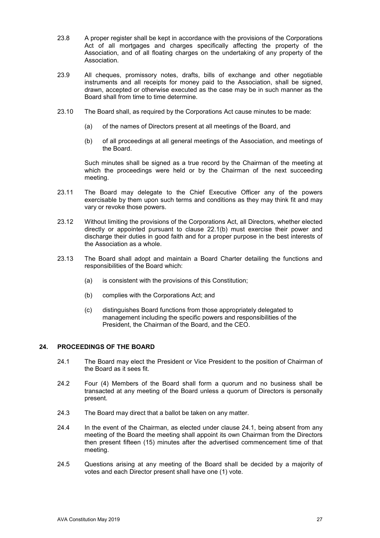- 23.8 A proper register shall be kept in accordance with the provisions of the Corporations Act of all mortgages and charges specifically affecting the property of the Association, and of all floating charges on the undertaking of any property of the Association.
- 23.9 All cheques, promissory notes, drafts, bills of exchange and other negotiable instruments and all receipts for money paid to the Association, shall be signed, drawn, accepted or otherwise executed as the case may be in such manner as the Board shall from time to time determine.
- 23.10 The Board shall, as required by the Corporations Act cause minutes to be made:
	- (a) of the names of Directors present at all meetings of the Board, and
	- (b) of all proceedings at all general meetings of the Association, and meetings of the Board.

Such minutes shall be signed as a true record by the Chairman of the meeting at which the proceedings were held or by the Chairman of the next succeeding meeting.

- 23.11 The Board may delegate to the Chief Executive Officer any of the powers exercisable by them upon such terms and conditions as they may think fit and may vary or revoke those powers.
- 23.12 Without limiting the provisions of the Corporations Act, all Directors, whether elected directly or appointed pursuant to clause 22.1(b) must exercise their power and discharge their duties in good faith and for a proper purpose in the best interests of the Association as a whole.
- 23.13 The Board shall adopt and maintain a Board Charter detailing the functions and responsibilities of the Board which:
	- (a) is consistent with the provisions of this Constitution;
	- (b) complies with the Corporations Act; and
	- (c) distinguishes Board functions from those appropriately delegated to management including the specific powers and responsibilities of the President, the Chairman of the Board, and the CEO.

# **24. PROCEEDINGS OF THE BOARD**

- 24.1 The Board may elect the President or Vice President to the position of Chairman of the Board as it sees fit.
- 24.2 Four (4) Members of the Board shall form a quorum and no business shall be transacted at any meeting of the Board unless a quorum of Directors is personally present.
- 24.3 The Board may direct that a ballot be taken on any matter.
- 24.4 In the event of the Chairman, as elected under clause 24.1, being absent from any meeting of the Board the meeting shall appoint its own Chairman from the Directors then present fifteen (15) minutes after the advertised commencement time of that meeting.
- 24.5 Questions arising at any meeting of the Board shall be decided by a majority of votes and each Director present shall have one (1) vote.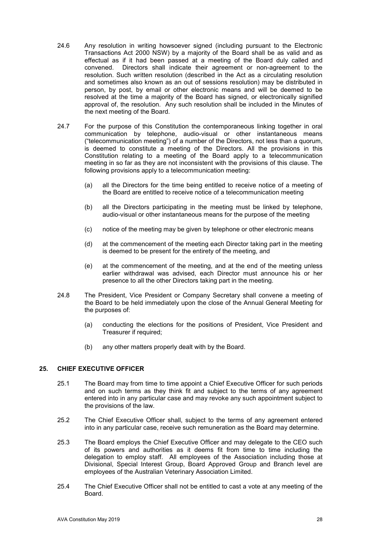- 24.6 Any resolution in writing howsoever signed (including pursuant to the Electronic Transactions Act 2000 NSW) by a majority of the Board shall be as valid and as effectual as if it had been passed at a meeting of the Board duly called and convened. Directors shall indicate their agreement or non-agreement to the resolution. Such written resolution (described in the Act as a circulating resolution and sometimes also known as an out of sessions resolution) may be distributed in person, by post, by email or other electronic means and will be deemed to be resolved at the time a majority of the Board has signed, or electronically signified approval of, the resolution. Any such resolution shall be included in the Minutes of the next meeting of the Board.
- 24.7 For the purpose of this Constitution the contemporaneous linking together in oral communication by telephone, audio-visual or other instantaneous means ("telecommunication meeting") of a number of the Directors, not less than a quorum, is deemed to constitute a meeting of the Directors. All the provisions in this Constitution relating to a meeting of the Board apply to a telecommunication meeting in so far as they are not inconsistent with the provisions of this clause. The following provisions apply to a telecommunication meeting:
	- (a) all the Directors for the time being entitled to receive notice of a meeting of the Board are entitled to receive notice of a telecommunication meeting
	- (b) all the Directors participating in the meeting must be linked by telephone, audio-visual or other instantaneous means for the purpose of the meeting
	- (c) notice of the meeting may be given by telephone or other electronic means
	- (d) at the commencement of the meeting each Director taking part in the meeting is deemed to be present for the entirety of the meeting, and
	- (e) at the commencement of the meeting, and at the end of the meeting unless earlier withdrawal was advised, each Director must announce his or her presence to all the other Directors taking part in the meeting.
- 24.8 The President, Vice President or Company Secretary shall convene a meeting of the Board to be held immediately upon the close of the Annual General Meeting for the purposes of:
	- (a) conducting the elections for the positions of President, Vice President and Treasurer if required;
	- (b) any other matters properly dealt with by the Board.

#### **25. CHIEF EXECUTIVE OFFICER**

- 25.1 The Board may from time to time appoint a Chief Executive Officer for such periods and on such terms as they think fit and subject to the terms of any agreement entered into in any particular case and may revoke any such appointment subject to the provisions of the law.
- 25.2 The Chief Executive Officer shall, subject to the terms of any agreement entered into in any particular case, receive such remuneration as the Board may determine.
- 25.3 The Board employs the Chief Executive Officer and may delegate to the CEO such of its powers and authorities as it deems fit from time to time including the delegation to employ staff. All employees of the Association including those at Divisional, Special Interest Group, Board Approved Group and Branch level are employees of the Australian Veterinary Association Limited.
- 25.4 The Chief Executive Officer shall not be entitled to cast a vote at any meeting of the Board.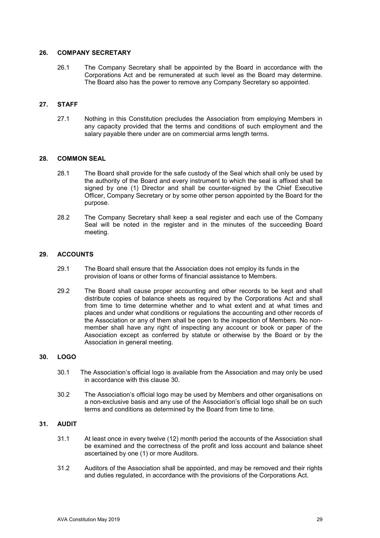### **26. COMPANY SECRETARY**

26.1 The Company Secretary shall be appointed by the Board in accordance with the Corporations Act and be remunerated at such level as the Board may determine. The Board also has the power to remove any Company Secretary so appointed.

# **27. STAFF**

27.1 Nothing in this Constitution precludes the Association from employing Members in any capacity provided that the terms and conditions of such employment and the salary payable there under are on commercial arms length terms.

### **28. COMMON SEAL**

- 28.1 The Board shall provide for the safe custody of the Seal which shall only be used by the authority of the Board and every instrument to which the seal is affixed shall be signed by one (1) Director and shall be counter-signed by the Chief Executive Officer, Company Secretary or by some other person appointed by the Board for the purpose.
- 28.2 The Company Secretary shall keep a seal register and each use of the Company Seal will be noted in the register and in the minutes of the succeeding Board meeting.

### **29. ACCOUNTS**

- 29.1 The Board shall ensure that the Association does not employ its funds in the provision of loans or other forms of financial assistance to Members.
- 29.2 The Board shall cause proper accounting and other records to be kept and shall distribute copies of balance sheets as required by the Corporations Act and shall from time to time determine whether and to what extent and at what times and places and under what conditions or regulations the accounting and other records of the Association or any of them shall be open to the inspection of Members. No nonmember shall have any right of inspecting any account or book or paper of the Association except as conferred by statute or otherwise by the Board or by the Association in general meeting.

#### **30. LOGO**

- 30.1 The Association's official logo is available from the Association and may only be used in accordance with this clause 30.
- 30.2 The Association's official logo may be used by Members and other organisations on a non-exclusive basis and any use of the Association's official logo shall be on such terms and conditions as determined by the Board from time to time.

## **31. AUDIT**

- 31.1 At least once in every twelve (12) month period the accounts of the Association shall be examined and the correctness of the profit and loss account and balance sheet ascertained by one (1) or more Auditors.
- 31.2 Auditors of the Association shall be appointed, and may be removed and their rights and duties regulated, in accordance with the provisions of the Corporations Act.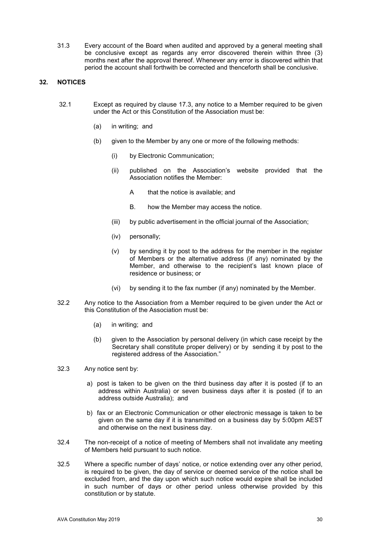31.3 Every account of the Board when audited and approved by a general meeting shall be conclusive except as regards any error discovered therein within three (3) months next after the approval thereof. Whenever any error is discovered within that period the account shall forthwith be corrected and thenceforth shall be conclusive.

# **32. NOTICES**

- 32.1 Except as required by clause 17.3, any notice to a Member required to be given under the Act or this Constitution of the Association must be:
	- (a) in writing; and
	- (b) given to the Member by any one or more of the following methods:
		- (i) by Electronic Communication;
		- (ii) published on the Association's website provided that the Association notifies the Member:
			- A that the notice is available; and
			- B. how the Member may access the notice.
		- (iii) by public advertisement in the official journal of the Association;
		- (iv) personally;
		- (v) by sending it by post to the address for the member in the register of Members or the alternative address (if any) nominated by the Member, and otherwise to the recipient's last known place of residence or business; or
		- (vi) by sending it to the fax number (if any) nominated by the Member.
- 32.2 Any notice to the Association from a Member required to be given under the Act or this Constitution of the Association must be:
	- (a) in writing; and
	- (b) given to the Association by personal delivery (in which case receipt by the Secretary shall constitute proper delivery) or by sending it by post to the registered address of the Association."
- 32.3 Any notice sent by:
	- a) post is taken to be given on the third business day after it is posted (if to an address within Australia) or seven business days after it is posted (if to an address outside Australia); and
	- b) fax or an Electronic Communication or other electronic message is taken to be given on the same day if it is transmitted on a business day by 5:00pm AEST and otherwise on the next business day.
- 32.4 The non-receipt of a notice of meeting of Members shall not invalidate any meeting of Members held pursuant to such notice.
- 32.5 Where a specific number of days' notice, or notice extending over any other period, is required to be given, the day of service or deemed service of the notice shall be excluded from, and the day upon which such notice would expire shall be included in such number of days or other period unless otherwise provided by this constitution or by statute.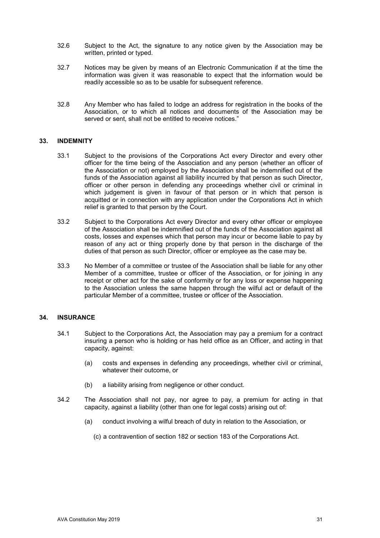- 32.6 Subject to the Act, the signature to any notice given by the Association may be written, printed or typed.
- 32.7 Notices may be given by means of an Electronic Communication if at the time the information was given it was reasonable to expect that the information would be readily accessible so as to be usable for subsequent reference.
- 32.8 Any Member who has failed to lodge an address for registration in the books of the Association, or to which all notices and documents of the Association may be served or sent, shall not be entitled to receive notices."

#### **33. INDEMNITY**

- 33.1 Subject to the provisions of the Corporations Act every Director and every other officer for the time being of the Association and any person (whether an officer of the Association or not) employed by the Association shall be indemnified out of the funds of the Association against all liability incurred by that person as such Director, officer or other person in defending any proceedings whether civil or criminal in which judgement is given in favour of that person or in which that person is acquitted or in connection with any application under the Corporations Act in which relief is granted to that person by the Court.
- 33.2 Subject to the Corporations Act every Director and every other officer or employee of the Association shall be indemnified out of the funds of the Association against all costs, losses and expenses which that person may incur or become liable to pay by reason of any act or thing properly done by that person in the discharge of the duties of that person as such Director, officer or employee as the case may be.
- 33.3 No Member of a committee or trustee of the Association shall be liable for any other Member of a committee, trustee or officer of the Association, or for joining in any receipt or other act for the sake of conformity or for any loss or expense happening to the Association unless the same happen through the wilful act or default of the particular Member of a committee, trustee or officer of the Association.

#### **34. INSURANCE**

- 34.1 Subject to the Corporations Act, the Association may pay a premium for a contract insuring a person who is holding or has held office as an Officer, and acting in that capacity, against:
	- (a) costs and expenses in defending any proceedings, whether civil or criminal, whatever their outcome, or
	- (b) a liability arising from negligence or other conduct.
- 34.2 The Association shall not pay, nor agree to pay, a premium for acting in that capacity, against a liability (other than one for legal costs) arising out of:
	- (a) conduct involving a wilful breach of duty in relation to the Association, or
		- (c) a contravention of section 182 or section 183 of the Corporations Act.